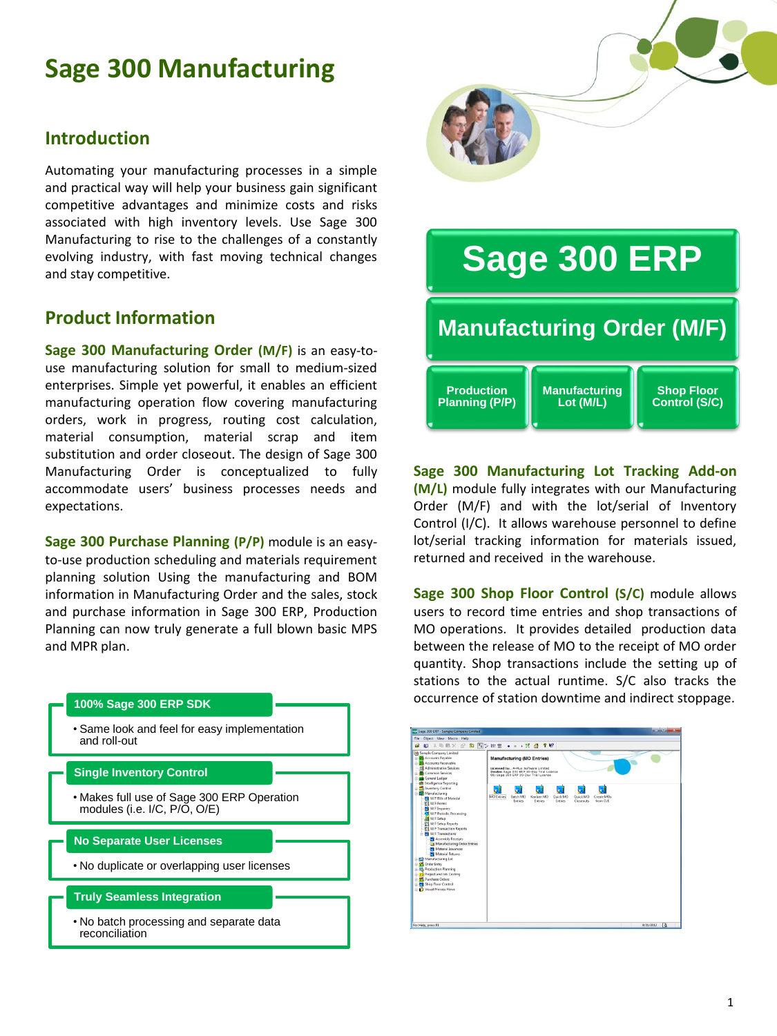# **Sage 300 Manufacturing**

## **Introduction**

Automating your manufacturing processes in a simple and practical way will help your business gain significant competitive advantages and minimize costs and risks associated with high inventory levels. Use Sage 300 Manufacturing to rise to the challenges of a constantly evolving industry, with fast moving technical changes and stay competitive.

## **Product Information**

**Sage 300 Manufacturing Order (M/F)** is an easy-touse manufacturing solution for small to medium-sized enterprises. Simple yet powerful, it enables an efficient manufacturing operation flow covering manufacturing orders, work in progress, routing cost calculation, material consumption, material scrap and item substitution and order closeout. The design of Sage 300 Manufacturing Order is conceptualized to fully accommodate users' business processes needs and expectations.

**Sage 300 Purchase Planning (P/P)** module is an easyto-use production scheduling and materials requirement planning solution Using the manufacturing and BOM information in Manufacturing Order and the sales, stock and purchase information in Sage 300 ERP, Production Planning can now truly generate a full blown basic MPS and MPR plan.



# **Sage 300 ERP Manufacturing Order (M/F) Production Planning (P/P) Manufacturing Lot (M/L) Shop Floor Control (S/C)**

**Sage 300 Manufacturing Lot Tracking Add-on (M/L)** module fully integrates with our Manufacturing Order (M/F) and with the lot/serial of Inventory Control (I/C). It allows warehouse personnel to define lot/serial tracking information for materials issued, returned and received in the warehouse.

**Sage 300 Shop Floor Control (S/C)** module allows users to record time entries and shop transactions of MO operations. It provides detailed production data between the release of MO to the receipt of MO order quantity. Shop transactions include the setting up of stations to the actual runtime. S/C also tracks the occurrence of station downtime and indirect stoppage.

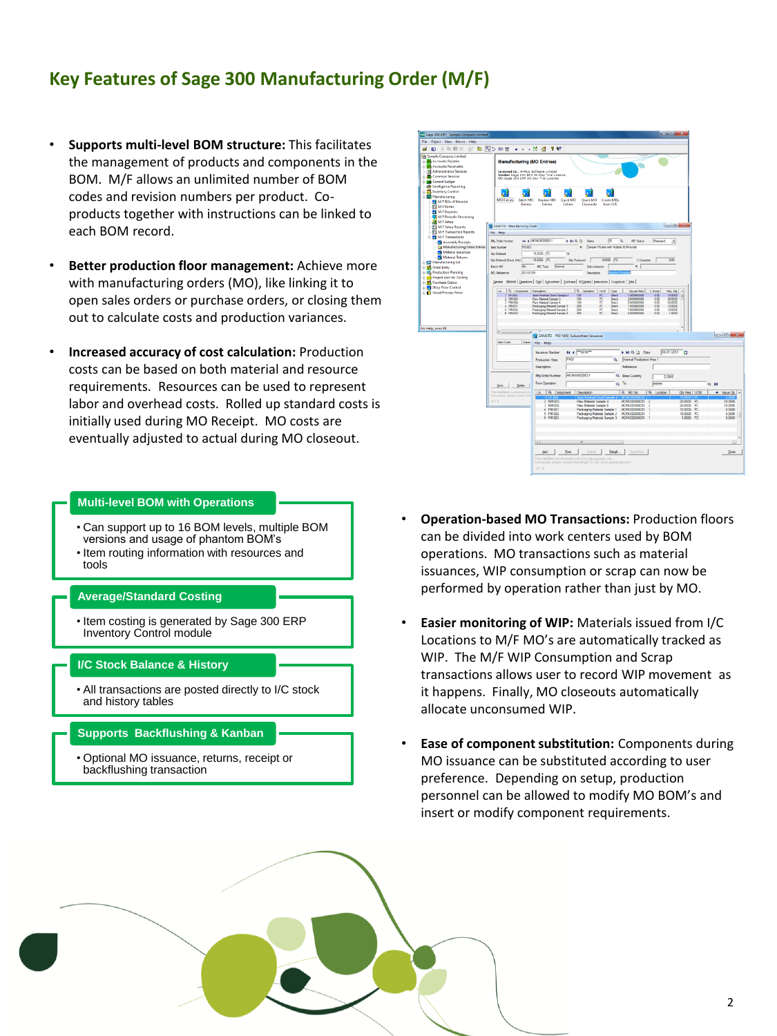## **Key Features of Sage 300 Manufacturing Order (M/F)**

- **Supports multi-level BOM structure:** This facilitates the management of products and components in the BOM. M/F allows an unlimited number of BOM codes and revision numbers per product. Coproducts together with instructions can be linked to each BOM record.
- **Better production floor management:** Achieve more with manufacturing orders (MO), like linking it to open sales orders or purchase orders, or closing them out to calculate costs and production variances.
- **Increased accuracy of cost calculation:** Production costs can be based on both material and resource requirements. Resources can be used to represent labor and overhead costs. Rolled up standard costs is initially used during MO Receipt. MO costs are eventually adjusted to actual during MO closeout.

### **Multi-level BOM with Operations**

- Can support up to 16 BOM levels, multiple BOM versions and usage of phantom BOM's
- Item routing information with resources and tools

#### **Average/Standard Costing**

• Item costing is generated by Sage 300 ERP Inventory Control module

#### **I/C Stock Balance & History**

• All transactions are posted directly to I/C stock and history tables

#### **Supports Backflushing & Kanban**

• Optional MO issuance, returns, receipt or backflushing transaction

| file Object View Macro Help                                         |                                                                      |                                                                                                      |                                                                                                                                           |                                         |                                               |                                    |                                                             |
|---------------------------------------------------------------------|----------------------------------------------------------------------|------------------------------------------------------------------------------------------------------|-------------------------------------------------------------------------------------------------------------------------------------------|-----------------------------------------|-----------------------------------------------|------------------------------------|-------------------------------------------------------------|
| <b>20 0 3 5 6 × 2 8 5 5 6 1</b>                                     |                                                                      |                                                                                                      |                                                                                                                                           |                                         |                                               |                                    |                                                             |
| <b>M</b> Sample Company Limited                                     |                                                                      |                                                                                                      |                                                                                                                                           |                                         |                                               |                                    |                                                             |
| <b>B</b> Accounts Payable                                           | <b>Manufacturing (MO Entries)</b>                                    |                                                                                                      |                                                                                                                                           |                                         |                                               |                                    |                                                             |
| in <b>D'a</b> Accounts Receivable                                   |                                                                      |                                                                                                      |                                                                                                                                           |                                         |                                               |                                    |                                                             |
| El Administrative Services<br><b>Common Services</b>                | Licensed to: , A-Plus Software Limited                               | Dealer: Sage 300 ERP 30-Day Trial License                                                            |                                                                                                                                           |                                         |                                               |                                    |                                                             |
| General Ledger                                                      |                                                                      | CC: Sage 300 ERP 30-Day Trial License                                                                |                                                                                                                                           |                                         |                                               |                                    |                                                             |
| all Intelligence Reporting                                          |                                                                      |                                                                                                      |                                                                                                                                           |                                         |                                               |                                    |                                                             |
| Inventory Control                                                   |                                                                      |                                                                                                      |                                                                                                                                           |                                         |                                               |                                    |                                                             |
| Manufacturing                                                       | <b>MO Entries</b><br>Batch MO                                        | Kanban MO                                                                                            | Quick MO<br>Quick MO                                                                                                                      | Create MOs                              |                                               |                                    |                                                             |
| M/F Bills of Material                                               | <b>Entries</b>                                                       | <b>Frances</b>                                                                                       | <b>Entries</b><br>Closequts                                                                                                               | from O/E                                |                                               |                                    |                                                             |
| M/F Forms<br>M/F Inquiries                                          |                                                                      |                                                                                                      |                                                                                                                                           |                                         |                                               |                                    |                                                             |
| M/F Periodic Processing                                             |                                                                      |                                                                                                      |                                                                                                                                           |                                         |                                               |                                    |                                                             |
| M/F Setup                                                           |                                                                      |                                                                                                      |                                                                                                                                           |                                         |                                               |                                    |                                                             |
| M/F Setup Reports                                                   | <b>Bill SAMLTO - Manufacturing Order</b>                             |                                                                                                      |                                                                                                                                           |                                         |                                               | <b>CONDITION</b>                   |                                                             |
| WF Transaction Reports                                              | File Help                                                            |                                                                                                      |                                                                                                                                           |                                         |                                               |                                    |                                                             |
| <b>M/F Transactions</b>                                             | Mig Order Number                                                     | <b>84 4 PADRADODODOS31</b>                                                                           | HQ<br>Sena                                                                                                                                | lon.<br>$\alpha$                        | <b>MO Status</b><br><b>Fisionned</b>          | $\bullet$                          |                                                             |
| Assembly Receipts<br>Manufacturing Order Entries                    | FG-003<br>ten Nurber                                                 |                                                                                                      | ĸ                                                                                                                                         | Sanok FG ban Ath Multiple BOM levels    |                                               |                                    |                                                             |
| Material Issuances                                                  | <b>City Circlemed</b>                                                | 10,0000 PC                                                                                           | $\alpha$                                                                                                                                  |                                         |                                               |                                    |                                                             |
| Material Returns                                                    |                                                                      | to note lier                                                                                         |                                                                                                                                           | none. Br                                |                                               | 000                                |                                                             |
| <b>In-52 Manufacturing Lot</b>                                      | Qry Ordered (Stock Unit)                                             |                                                                                                      | Ou Produced                                                                                                                               |                                         | % Complete                                    |                                    |                                                             |
| <b>Coder Entry</b>                                                  | Datch NO<br>P65                                                      | <b>MO Tupe</b><br>Grégorial                                                                          | 5 Accelerator                                                                                                                             |                                         | × I                                           |                                    |                                                             |
| <b>Conference Planning</b><br><b>In-199</b> Project and Job Costing | <b>MO Reference</b>                                                  | 02142109                                                                                             | Deecription                                                                                                                               |                                         |                                               |                                    |                                                             |
| <b>B</b> -T Purchase Orders                                         |                                                                      | General Elatarial Covenons   Oyld Subcordrast   Bushase   SODetails   Hatuctons   Copyridust   Total |                                                                                                                                           |                                         |                                               |                                    |                                                             |
| Shop Floor Control                                                  |                                                                      |                                                                                                      |                                                                                                                                           |                                         |                                               |                                    |                                                             |
| <b>B</b> Visual Process Flows                                       | Q. Component Description<br>Un<br>1.55.004                           | Seni Finished Good Sangle 4                                                                          | Q. Operator: UCM Type<br>100<br>PC.                                                                                                       | Deed                                    | Obrper tem  <br>1.5000<br>1.000000000<br>4.00 | Fies $Q_Y$ $\sim$<br>10.0000       |                                                             |
|                                                                     | <b>DMADO</b><br>2                                                    | Raw Material Sample 3                                                                                | 100<br>PC                                                                                                                                 | Descri                                  | 2.000000000<br>0.00                           | 20,0000                            |                                                             |
|                                                                     | RM.004<br>×<br>psa.com                                               | Flave Material Semple 4<br>Packaging Material Sample 1                                               | PC<br>100<br>PC.<br>200                                                                                                                   | Drect<br>Died                           | 2.000000000<br>0.00<br>1.000000000<br>0.00    | 20,0000<br>10,0000                 |                                                             |
|                                                                     | PM-002                                                               |                                                                                                      |                                                                                                                                           |                                         |                                               |                                    |                                                             |
|                                                                     |                                                                      |                                                                                                      | 200<br>RC                                                                                                                                 | Deed                                    | 1.000000000<br>0.00                           | 10,0000                            |                                                             |
|                                                                     | 6 PM 003                                                             | Peckaging Meterial Sample 2<br>Packaging Material Sample 3                                           | 200<br>9Č                                                                                                                                 | Died                                    | 0.000000000<br>606                            | 1,0000                             |                                                             |
|                                                                     |                                                                      |                                                                                                      |                                                                                                                                           |                                         |                                               |                                    |                                                             |
|                                                                     |                                                                      |                                                                                                      |                                                                                                                                           |                                         |                                               |                                    |                                                             |
|                                                                     | $\epsilon$                                                           |                                                                                                      | SAMLTD - PO/ MO/ Subcontract Issuance                                                                                                     |                                         |                                               |                                    |                                                             |
| For Help, press F1                                                  | <b>Terri Code</b><br>Desor                                           |                                                                                                      |                                                                                                                                           |                                         |                                               |                                    |                                                             |
|                                                                     |                                                                      | File Help                                                                                            |                                                                                                                                           |                                         |                                               |                                    |                                                             |
|                                                                     |                                                                      | Insuance Number                                                                                      | <b>IK 4 THEW"</b>                                                                                                                         |                                         | <b>N M G. D. Date</b>                         | 09/21/2012 [7]                     |                                                             |
|                                                                     |                                                                      | <b>Production Area</b>                                                                               | PAOT                                                                                                                                      |                                         | Q Internal Production Assa 1                  |                                    |                                                             |
|                                                                     |                                                                      |                                                                                                      |                                                                                                                                           |                                         |                                               |                                    |                                                             |
|                                                                     |                                                                      | Description                                                                                          |                                                                                                                                           | Reference                               |                                               |                                    |                                                             |
|                                                                     |                                                                      | Mis Order Number                                                                                     | MONO00000031                                                                                                                              | Q. Base Quantity                        |                                               | 5,0000                             |                                                             |
|                                                                     |                                                                      | From Operation                                                                                       |                                                                                                                                           | a <sup>To</sup>                         | 55995                                         |                                    | $Q$ 33                                                      |
|                                                                     | Delete:<br>Sere                                                      |                                                                                                      |                                                                                                                                           |                                         |                                               |                                    |                                                             |
|                                                                     | The intollates is celebrated let<br>For inspires, please contact Adv | Lin., Q. Component                                                                                   | Description                                                                                                                               | Q MO No.                                | Q Location                                    | Qty Reg UOM                        |                                                             |
|                                                                     | $-3.5.5$                                                             | 2 RM-003                                                                                             | Raw Material Sample 3                                                                                                                     |                                         | MONO00000031                                  | 20,0000 PC                         |                                                             |
|                                                                     |                                                                      | 3 RM-004                                                                                             | Raw Material Sample 4                                                                                                                     |                                         | MONO00000011                                  | 20,0000 PC                         |                                                             |
|                                                                     |                                                                      | 4 PM-001<br>5 PM-002                                                                                 | Packaging Material Sample 1<br><b>Packaging Material Sample 2</b>                                                                         |                                         | MONO00000031<br>MONO00000031                  | 10,0000 PC<br>10,0000<br><b>PC</b> |                                                             |
|                                                                     |                                                                      | 6 PM-003                                                                                             |                                                                                                                                           | Packaging Material Sample 3 MONO0000031 |                                               | 1,0000 PC                          |                                                             |
|                                                                     |                                                                      |                                                                                                      |                                                                                                                                           |                                         |                                               |                                    | 10.0000<br>10,0000<br>5.0000<br>5.0000<br>0.0000            |
|                                                                     |                                                                      |                                                                                                      |                                                                                                                                           |                                         |                                               |                                    |                                                             |
|                                                                     |                                                                      |                                                                                                      |                                                                                                                                           |                                         |                                               |                                    |                                                             |
|                                                                     |                                                                      | $\overline{a}$                                                                                       |                                                                                                                                           |                                         |                                               |                                    |                                                             |
|                                                                     |                                                                      |                                                                                                      |                                                                                                                                           |                                         |                                               |                                    |                                                             |
|                                                                     |                                                                      | 8dd                                                                                                  | Epst<br><b>Delete</b>                                                                                                                     | Detail                                  | Substitute.                                   |                                    |                                                             |
|                                                                     |                                                                      |                                                                                                      | This installation is unlicensed and is for trial purposes only.<br>For inquiries, please contact AutoSimply Co. Ltd. (www.autosimply.com) |                                         |                                               |                                    | <b>100 B 25</b><br>A Issue Oby   A<br>$\Box$<br><b>Dose</b> |

- **Operation-based MO Transactions:** Production floors can be divided into work centers used by BOM operations. MO transactions such as material issuances, WIP consumption or scrap can now be performed by operation rather than just by MO.
- **Easier monitoring of WIP:** Materials issued from I/C Locations to M/F MO's are automatically tracked as WIP. The M/F WIP Consumption and Scrap transactions allows user to record WIP movement as it happens. Finally, MO closeouts automatically allocate unconsumed WIP.
- **Ease of component substitution:** Components during MO issuance can be substituted according to user preference. Depending on setup, production personnel can be allowed to modify MO BOM's and insert or modify component requirements.

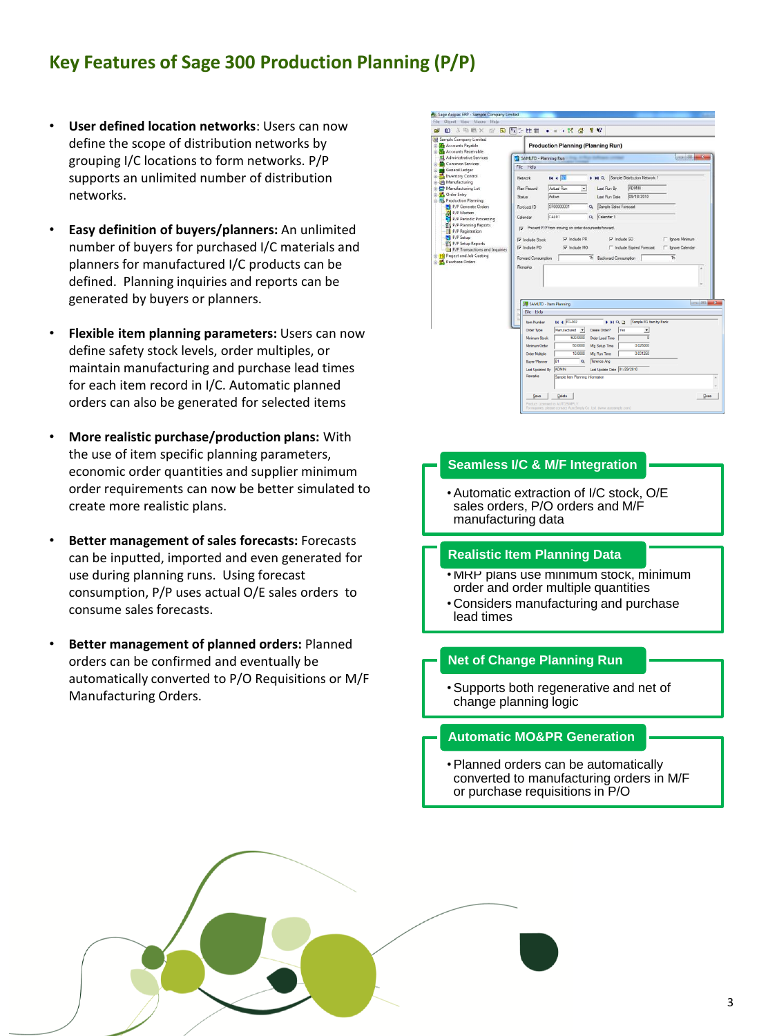## **Key Features of Sage 300 Production Planning (P/P)**

- **User defined location networks**: Users can now define the scope of distribution networks by grouping I/C locations to form networks. P/P supports an unlimited number of distribution networks.
- **Easy definition of buyers/planners:** An unlimited number of buyers for purchased I/C materials and planners for manufactured I/C products can be defined. Planning inquiries and reports can be generated by buyers or planners.
- **Flexible item planning parameters:** Users can now define safety stock levels, order multiples, or maintain manufacturing and purchase lead times for each item record in I/C. Automatic planned orders can also be generated for selected items
- **More realistic purchase/production plans:** With the use of item specific planning parameters, economic order quantities and supplier minimum order requirements can now be better simulated to create more realistic plans.
- **Better management of sales forecasts:** Forecasts can be inputted, imported and even generated for use during planning runs. Using forecast consumption, P/P uses actual O/E sales orders to consume sales forecasts.
- **Better management of planned orders:** Planned orders can be confirmed and eventually be automatically converted to P/O Requisitions or M/F Manufacturing Orders.

| <b>R</b> The Accounts Payable<br><b>ID 200</b> Accounts Receivable<br>Administrative Services<br>Common Services<br>File Help<br>General Ledger<br>Inventory Control<br>床<br>Network<br>E-Col Manufacturing<br>Manufacturing Lot<br>Plan Record<br><b>G.</b> Order Entry<br>Satus<br><b>E-RS</b> Production Planning<br>P/P Generate Orders<br>Forecast ID<br><b>XX</b> P/P Masters<br>Calendar<br>P/P Periodic Processing | <b>Production Planning (Planning Run)</b><br>$\Box$ $\Box$<br>SAMLTD - Planning Run<br>14.4<br>D DI Q Sample Distribution Network 1<br>ADMIN<br>Actual Run<br>Last Run By<br>۰<br>09/18/2010<br>Active<br>Last Run Date<br>SF00000001<br>Sample Sales Forecast<br>$\alpha$ |
|----------------------------------------------------------------------------------------------------------------------------------------------------------------------------------------------------------------------------------------------------------------------------------------------------------------------------------------------------------------------------------------------------------------------------|----------------------------------------------------------------------------------------------------------------------------------------------------------------------------------------------------------------------------------------------------------------------------|
|                                                                                                                                                                                                                                                                                                                                                                                                                            |                                                                                                                                                                                                                                                                            |
|                                                                                                                                                                                                                                                                                                                                                                                                                            |                                                                                                                                                                                                                                                                            |
|                                                                                                                                                                                                                                                                                                                                                                                                                            |                                                                                                                                                                                                                                                                            |
|                                                                                                                                                                                                                                                                                                                                                                                                                            |                                                                                                                                                                                                                                                                            |
|                                                                                                                                                                                                                                                                                                                                                                                                                            |                                                                                                                                                                                                                                                                            |
|                                                                                                                                                                                                                                                                                                                                                                                                                            |                                                                                                                                                                                                                                                                            |
|                                                                                                                                                                                                                                                                                                                                                                                                                            |                                                                                                                                                                                                                                                                            |
|                                                                                                                                                                                                                                                                                                                                                                                                                            | CAL01<br>Calendar 1<br>$\alpha$                                                                                                                                                                                                                                            |
| P/P Planning Reports                                                                                                                                                                                                                                                                                                                                                                                                       | Prevent P/P from moving on order documents forward.                                                                                                                                                                                                                        |
| P/P Registration                                                                                                                                                                                                                                                                                                                                                                                                           |                                                                                                                                                                                                                                                                            |
| P/P Setup<br>D Include Stock<br>P/P Setup Reports                                                                                                                                                                                                                                                                                                                                                                          | Ty Include PR<br>V Include SO<br>C Ignore Minimum                                                                                                                                                                                                                          |
| <b>V</b> Include PO<br>P/P Transactions and Inquiries                                                                                                                                                                                                                                                                                                                                                                      | Ty Include MO<br><sup>1</sup> Include Expired Forecast<br>F Ignore Calendar                                                                                                                                                                                                |
| <b>E-PS</b> Project and Job Costing                                                                                                                                                                                                                                                                                                                                                                                        | 15<br>15<br>Forward Consumption<br><b>Backward Consumption</b>                                                                                                                                                                                                             |
| Purchase Orders<br>Remarks.                                                                                                                                                                                                                                                                                                                                                                                                |                                                                                                                                                                                                                                                                            |
|                                                                                                                                                                                                                                                                                                                                                                                                                            | SAMLTD - Item Planning                                                                                                                                                                                                                                                     |
|                                                                                                                                                                                                                                                                                                                                                                                                                            |                                                                                                                                                                                                                                                                            |
| File Help                                                                                                                                                                                                                                                                                                                                                                                                                  |                                                                                                                                                                                                                                                                            |
|                                                                                                                                                                                                                                                                                                                                                                                                                            |                                                                                                                                                                                                                                                                            |
|                                                                                                                                                                                                                                                                                                                                                                                                                            | <b>14 4 FG-002</b><br>Sample FG item by Pack<br>HQD<br><b>Bern Number</b>                                                                                                                                                                                                  |
| <b>Order Type</b>                                                                                                                                                                                                                                                                                                                                                                                                          | Manufactured -<br>Create Order?<br>Yes<br>٠                                                                                                                                                                                                                                |
|                                                                                                                                                                                                                                                                                                                                                                                                                            | 500.0000<br>Minimum Stock<br><b>Order Lead Time</b><br>ō<br>0.025000<br>50,0000                                                                                                                                                                                            |
|                                                                                                                                                                                                                                                                                                                                                                                                                            | Minimum Order<br>Mig Setup Time<br>0.031250<br>10,0000<br><b>Order Multiple</b>                                                                                                                                                                                            |
|                                                                                                                                                                                                                                                                                                                                                                                                                            | Mg Run Time<br>ie <sub>1</sub><br>Terence Ang<br>$\alpha$<br>Buver/Planner                                                                                                                                                                                                 |
|                                                                                                                                                                                                                                                                                                                                                                                                                            | <b>ADMIN</b><br>Last Update Date 01/29/2010<br><b>Last Updated By</b>                                                                                                                                                                                                      |

## **Seamless I/C & M/F Integration**

•Automatic extraction of I/C stock, O/E sales orders, P/O orders and M/F manufacturing data

#### **Realistic Item Planning Data**

- MRP plans use minimum stock, minimum order and order multiple quantities
- Considers manufacturing and purchase lead times

#### **Net of Change Planning Run**

•Supports both regenerative and net of change planning logic

#### **Automatic MO&PR Generation**

•Planned orders can be automatically converted to manufacturing orders in M/F or purchase requisitions in P/O

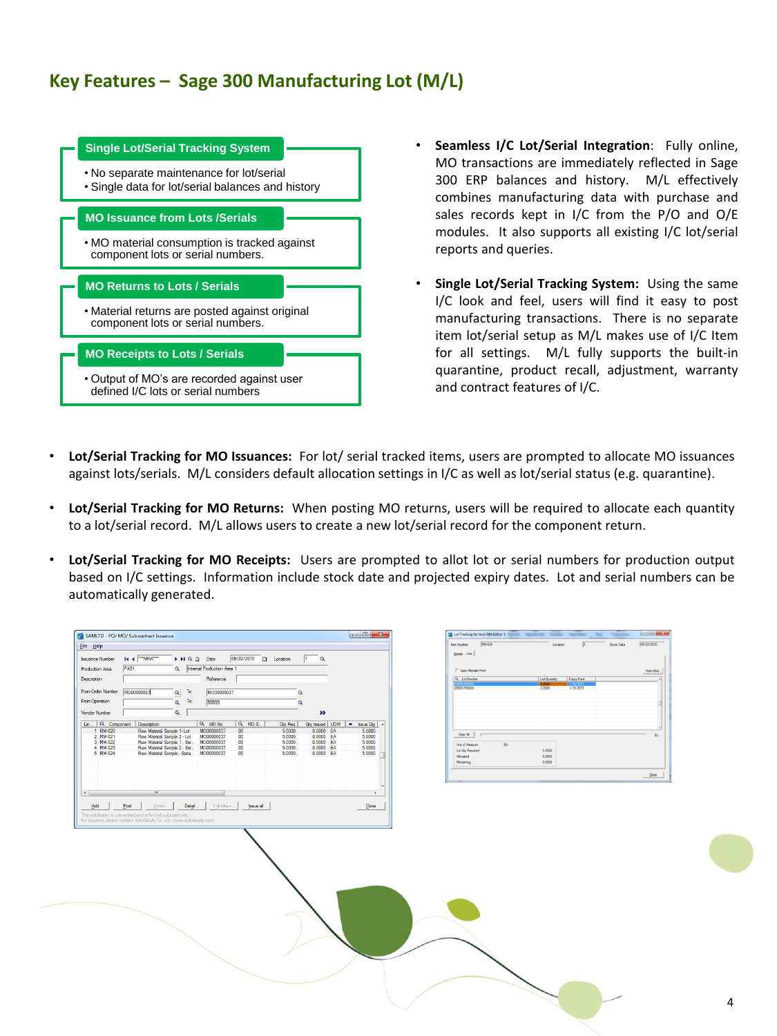## **Key Features – Sage 300 Manufacturing Lot (M/L)**

## • No separate maintenance for lot/serial • Single data for lot/serial balances and history **Single Lot/Serial Tracking System** • MO material consumption is tracked against component lots or serial numbers. **MO Issuance from Lots /Serials** • Material returns are posted against original component lots or serial numbers. **MO Returns to Lots / Serials** • Output of MO's are recorded against user defined I/C lots or serial numbers **MO Receipts to Lots / Serials**

- **Seamless I/C Lot/Serial Integration**: Fully online, MO transactions are immediately reflected in Sage 300 ERP balances and history. M/L effectively combines manufacturing data with purchase and sales records kept in I/C from the P/O and O/E modules. It also supports all existing I/C lot/serial reports and queries.
- **Single Lot/Serial Tracking System:** Using the same I/C look and feel, users will find it easy to post manufacturing transactions. There is no separate item lot/serial setup as M/L makes use of I/C Item for all settings. M/L fully supports the built-in quarantine, product recall, adjustment, warranty and contract features of I/C.
- **Lot/Serial Tracking for MO Issuances:** For lot/ serial tracked items, users are prompted to allocate MO issuances against lots/serials. M/L considers default allocation settings in I/C as well as lot/serial status (e.g. quarantine).
- **Lot/Serial Tracking for MO Returns:** When posting MO returns, users will be required to allocate each quantity to a lot/serial record. M/L allows users to create a new lot/serial record for the component return.
- **Lot/Serial Tracking for MO Receipts:** Users are prompted to allot lot or serial numbers for production output based on I/C settings. Information include stock date and projected expiry dates. Lot and serial numbers can be automatically generated.

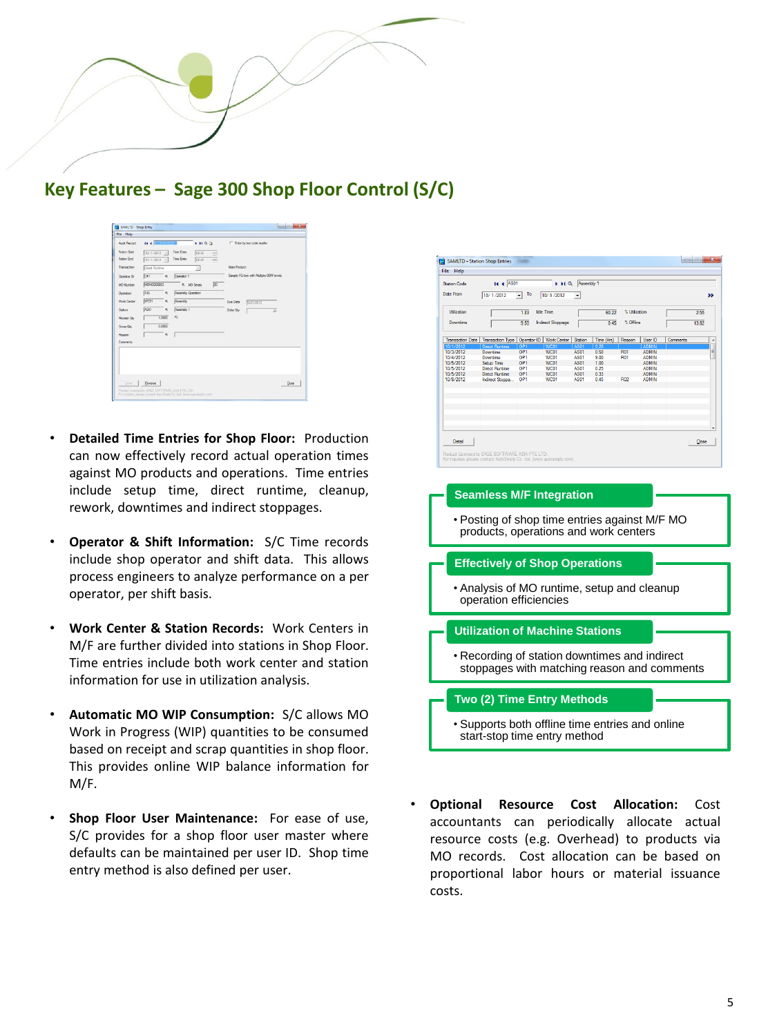

| Aude Record         | <b>N</b> Common     |                    |                                |              |                                        |      |
|---------------------|---------------------|--------------------|--------------------------------|--------------|----------------------------------------|------|
|                     |                     |                    | $+HQD$                         |              | F Enter by bar code reader             |      |
| Action Start        | 10/1/2012 $\sim$    | Time Entry         | 08:30                          |              |                                        |      |
| Action End          | 10/1/2012 -         | Time Entry         | 08:45                          |              |                                        |      |
| Transaction         | <b>Ored Rurbine</b> |                    | ×                              | Man Product: |                                        |      |
| Operator ID         | 55F1<br>$-$         | Operator 1         |                                |              | Sample FG tem with Multiple BOM levels |      |
| MO Number           | MOND000003          |                    | $\overline{50}$<br>R. MO Senes |              |                                        |      |
| Operation           | 100<br>$\alpha$     | Assembly Operation |                                |              |                                        |      |
| <b>Winds Center</b> | <b>WC01</b><br>۰    | Assembly           |                                | Due Dete     | 9/27/2012                              |      |
| Station             | AS01<br>٠           | Assembly 1         |                                | Drder Div    | 55                                     |      |
| Receipt Obr         | 1,0000              | PC.                |                                |              |                                        |      |
| Scope Oby           | 0.0000              |                    |                                |              |                                        |      |
| Reason              | $\alpha$            |                    |                                |              |                                        |      |
| Commerts            |                     |                    |                                |              |                                        |      |
| Saye -              | Reverse             |                    |                                |              |                                        | Onee |

- **Detailed Time Entries for Shop Floor:** Production can now effectively record actual operation times against MO products and operations. Time entries include setup time, direct runtime, cleanup, rework, downtimes and indirect stoppages.
- **Operator & Shift Information:** S/C Time records include shop operator and shift data. This allows process engineers to analyze performance on a per operator, per shift basis.
- **Work Center & Station Records:** Work Centers in M/F are further divided into stations in Shop Floor. Time entries include both work center and station information for use in utilization analysis.
- **Automatic MO WIP Consumption:** S/C allows MO Work in Progress (WIP) quantities to be consumed based on receipt and scrap quantities in shop floor. This provides online WIP balance information for M/F.
- **Shop Floor User Maintenance:** For ease of use, S/C provides for a shop floor user master where defaults can be maintained per user ID. Shop time entry method is also defined per user.



• **Optional Resource Cost Allocation:** Cost accountants can periodically allocate actual resource costs (e.g. Overhead) to products via MO records. Cost allocation can be based on proportional labor hours or material issuance costs.